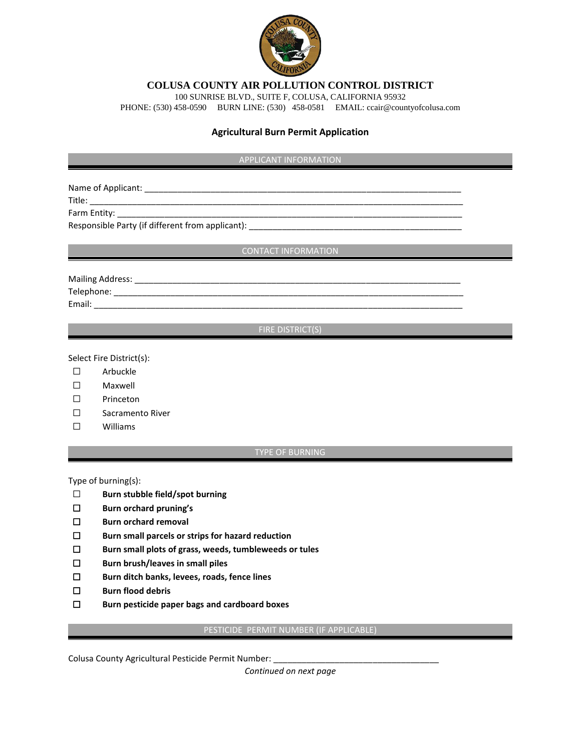

**COLUSA COUNTY AIR POLLUTION CONTROL DISTRICT**

100 SUNRISE BLVD., SUITE F, COLUSA, CALIFORNIA 95932

PHONE: (530) 458-0590 BURN LINE: (530) 458-0581 EMAIL: ccair@countyofcolusa.com

### **Agricultural Burn Permit Application**

### **APPLICANT INFORMATION**

Name of Applicant: \_\_\_\_\_\_\_\_\_\_\_\_\_\_\_\_\_\_\_\_\_\_\_\_\_\_\_\_\_\_\_\_\_\_\_\_\_\_\_\_\_\_\_\_\_\_\_\_\_\_\_\_\_\_\_\_\_\_\_\_\_\_\_\_\_\_\_

Title: \_\_\_\_\_\_\_\_\_\_\_\_\_\_\_\_\_\_\_\_\_\_\_\_\_\_\_\_\_\_\_\_\_\_\_\_\_\_\_\_\_\_\_\_\_\_\_\_\_\_\_\_\_\_\_\_\_\_\_\_\_\_\_\_\_\_\_\_\_\_\_\_\_\_\_\_\_\_\_

Farm Entity: \_\_\_\_\_\_\_\_\_\_\_\_\_\_\_\_\_\_\_\_\_\_\_\_\_\_\_\_\_\_\_\_\_\_\_\_\_\_\_\_\_\_\_\_\_\_\_\_\_\_\_\_\_\_\_\_\_\_\_\_\_\_\_\_\_\_\_\_\_\_\_\_\_ Responsible Party (if different from applicant): \_\_\_\_\_\_\_\_\_\_\_\_\_\_\_\_\_\_\_\_\_\_\_\_\_\_\_\_\_\_\_\_

**CONTACT INFORMATION** 

Mailing Address: \_\_\_\_\_\_\_\_\_\_\_\_\_\_\_\_\_\_\_\_\_\_\_\_\_\_\_\_\_\_\_\_\_\_\_\_\_\_\_\_\_\_\_\_\_\_\_\_\_\_\_\_\_\_\_\_\_\_\_\_\_\_\_\_\_\_\_\_\_ Telephone: \_\_\_\_\_\_\_\_\_\_\_\_\_\_\_\_\_\_\_\_\_\_\_\_\_\_\_\_\_\_\_\_\_\_\_\_\_\_\_\_\_\_\_\_\_\_\_\_\_\_\_\_\_\_\_\_\_\_\_\_\_\_\_\_\_\_\_\_\_\_\_\_\_\_

Email:  $\blacksquare$ 

# **FIRE DISTRICT(S)**

Select Fire District(s):

- ☐ Arbuckle
- ☐ Maxwell
- ☐ Princeton
- ☐ Sacramento River
- ☐ Williams

#### TYPE OF BURNING

Type of burning(s):

- ☐ **Burn stubble field/spot burning**
- ☐ **Burn orchard pruning's**
- ☐ **Burn orchard removal**
- ☐ **Burn small parcels or strips for hazard reduction**
- ☐ **Burn small plots of grass, weeds, tumbleweeds or tules**
- ☐ **Burn brush/leaves in small piles**
- ☐ **Burn ditch banks, levees, roads, fence lines**
- ☐ **Burn flood debris**
- ☐ **Burn pesticide paper bags and cardboard boxes**

## PESTICIDE PERMIT NUMBER (IF APPLICABLE)

Colusa County Agricultural Pesticide Permit Number:

*Continued on next page*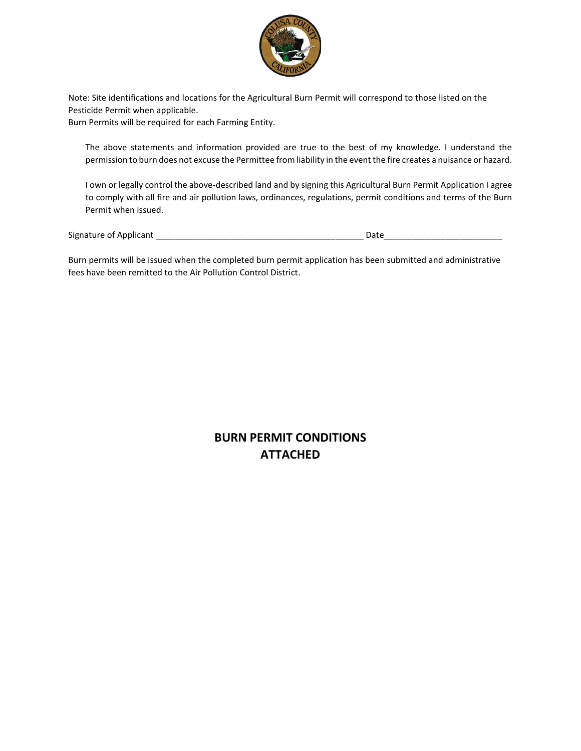

Note: Site identifications and locations for the Agricultural Burn Permit will correspond to those listed on the Pesticide Permit when applicable.

Burn Permits will be required for each Farming Entity.

The above statements and information provided are true to the best of my knowledge. I understand the permission to burn does not excuse the Permittee from liability in the event the fire creates a nuisance or hazard.

I own or legally control the above-described land and by signing this Agricultural Burn Permit Application I agree to comply with all fire and air pollution laws, ordinances, regulations, permit conditions and terms of the Burn Permit when issued.

Signature of Applicant \_\_\_\_\_\_\_\_\_\_\_\_\_\_\_\_\_\_\_\_\_\_\_\_\_\_\_\_\_\_\_\_\_\_\_\_\_\_\_\_\_\_\_\_ Date\_\_\_\_\_\_\_\_\_\_\_\_\_\_\_\_\_\_\_\_\_\_\_\_\_

Burn permits will be issued when the completed burn permit application has been submitted and administrative fees have been remitted to the Air Pollution Control District.

> **BURN PERMIT CONDITIONS ATTACHED**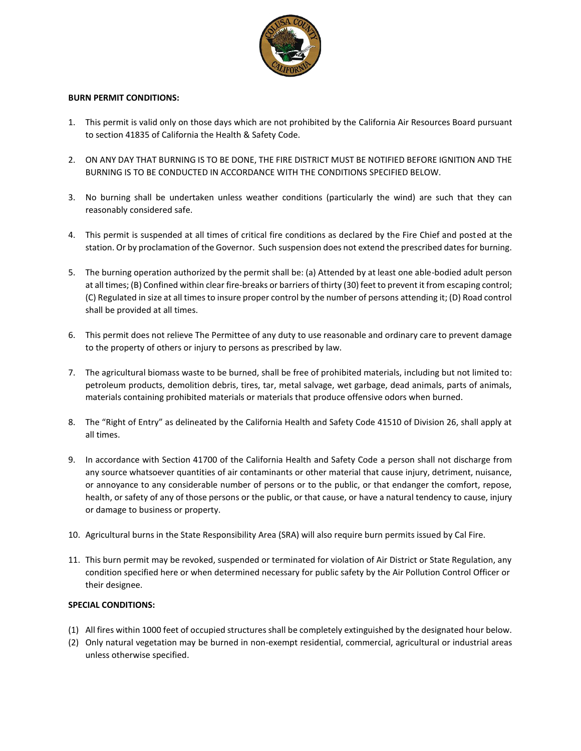

### **BURN PERMIT CONDITIONS:**

- 1. This permit is valid only on those days which are not prohibited by the California Air Resources Board pursuant to section 41835 of California the Health & Safety Code.
- 2. ON ANY DAY THAT BURNING IS TO BE DONE, THE FIRE DISTRICT MUST BE NOTIFIED BEFORE IGNITION AND THE BURNING IS TO BE CONDUCTED IN ACCORDANCE WITH THE CONDITIONS SPECIFIED BELOW.
- 3. No burning shall be undertaken unless weather conditions (particularly the wind) are such that they can reasonably considered safe.
- 4. This permit is suspended at all times of critical fire conditions as declared by the Fire Chief and posted at the station. Or by proclamation of the Governor. Such suspension does not extend the prescribed dates for burning.
- 5. The burning operation authorized by the permit shall be: (a) Attended by at least one able-bodied adult person at all times; (B) Confined within clear fire-breaks or barriers of thirty (30) feet to prevent it from escaping control; (C) Regulated in size at all times to insure proper control by the number of persons attending it; (D) Road control shall be provided at all times.
- 6. This permit does not relieve The Permittee of any duty to use reasonable and ordinary care to prevent damage to the property of others or injury to persons as prescribed by law.
- 7. The agricultural biomass waste to be burned, shall be free of prohibited materials, including but not limited to: petroleum products, demolition debris, tires, tar, metal salvage, wet garbage, dead animals, parts of animals, materials containing prohibited materials or materials that produce offensive odors when burned.
- 8. The "Right of Entry" as delineated by the California Health and Safety Code 41510 of Division 26, shall apply at all times.
- 9. In accordance with Section 41700 of the California Health and Safety Code a person shall not discharge from any source whatsoever quantities of air contaminants or other material that cause injury, detriment, nuisance, or annoyance to any considerable number of persons or to the public, or that endanger the comfort, repose, health, or safety of any of those persons or the public, or that cause, or have a natural tendency to cause, injury or damage to business or property.
- 10. Agricultural burns in the State Responsibility Area (SRA) will also require burn permits issued by Cal Fire.
- 11. This burn permit may be revoked, suspended or terminated for violation of Air District or State Regulation, any condition specified here or when determined necessary for public safety by the Air Pollution Control Officer or their designee.

### **SPECIAL CONDITIONS:**

- (1) All fires within 1000 feet of occupied structures shall be completely extinguished by the designated hour below.
- (2) Only natural vegetation may be burned in non-exempt residential, commercial, agricultural or industrial areas unless otherwise specified.